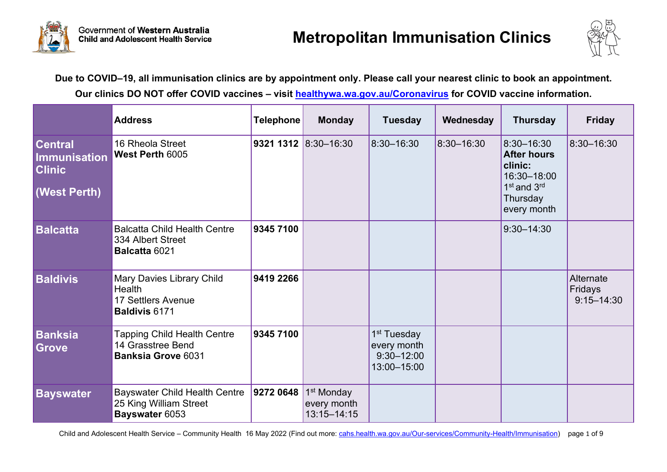



**Due to COVID–19, all immunisation clinics are by appointment only. Please call your nearest clinic to book an appointment. Our clinics DO NOT offer COVID vaccines – visit [healthywa.wa.gov.au/Coronavirus](https://healthywa.wa.gov.au/Coronavirus) for COVID vaccine information.** 

|                                                                               | <b>Address</b>                                                                           | <b>Telephone</b> | <b>Monday</b>                                            | <b>Tuesday</b>                                                          | Wednesday  | <b>Thursday</b>                                                                                                              | <b>Friday</b>                          |
|-------------------------------------------------------------------------------|------------------------------------------------------------------------------------------|------------------|----------------------------------------------------------|-------------------------------------------------------------------------|------------|------------------------------------------------------------------------------------------------------------------------------|----------------------------------------|
| <b>Central</b><br><b>Immunisation</b><br><b>Clinic</b><br><b>(West Perth)</b> | 16 Rheola Street<br><b>West Perth 6005</b>                                               |                  | 9321 1312 $ 8:30-16:30 $                                 | 8:30-16:30                                                              | 8:30-16:30 | 8:30-16:30<br><b>After hours</b><br>clinic:<br>16:30-18:00<br>1 <sup>st</sup> and 3 <sup>rd</sup><br>Thursday<br>every month | 8:30-16:30                             |
| <b>Balcatta</b>                                                               | <b>Balcatta Child Health Centre</b><br>334 Albert Street<br>Balcatta 6021                | 9345 7100        |                                                          |                                                                         |            | $9:30 - 14:30$                                                                                                               |                                        |
| <b>Baldivis</b>                                                               | Mary Davies Library Child<br><b>Health</b><br>17 Settlers Avenue<br><b>Baldivis 6171</b> | 9419 2266        |                                                          |                                                                         |            |                                                                                                                              | Alternate<br>Fridays<br>$9:15 - 14:30$ |
| <b>Banksia</b><br><b>Grove</b>                                                | <b>Tapping Child Health Centre</b><br>14 Grasstree Bend<br><b>Banksia Grove 6031</b>     | 9345 7100        |                                                          | 1 <sup>st</sup> Tuesday<br>every month<br>$9:30 - 12:00$<br>13:00-15:00 |            |                                                                                                                              |                                        |
| <b>Bayswater</b>                                                              | <b>Bayswater Child Health Centre</b><br>25 King William Street<br>Bayswater 6053         | 9272 0648        | 1 <sup>st</sup> Monday<br>every month<br>$13:15 - 14:15$ |                                                                         |            |                                                                                                                              |                                        |

Child and Adolescent Health Service – Community Health 16 May 2022 (Find out more: [cahs.health.wa.gov.au/Our-services/Community-Health/Immunisation\)](https://cahs.health.wa.gov.au/Our-services/Community-Health/Immunisation) page 1 of 9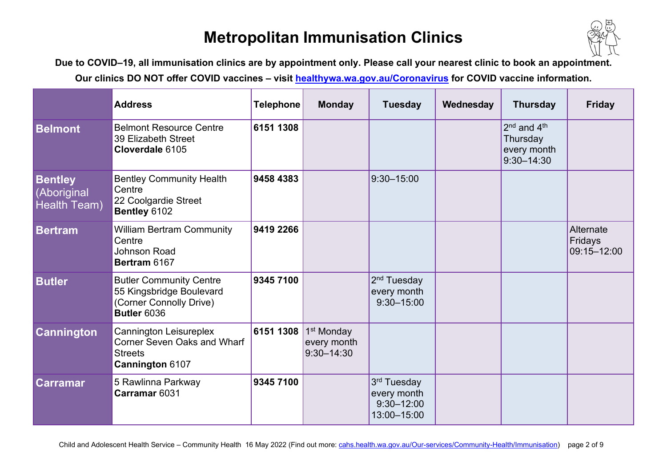

**Due to COVID–19, all immunisation clinics are by appointment only. Please call your nearest clinic to book an appointment.**

|                                               | <b>Address</b>                                                                                              | <b>Telephone</b> | <b>Monday</b>                                           | <b>Tuesday</b>                                                          | Wednesday | <b>Thursday</b>                                                                  | <b>Friday</b>                       |
|-----------------------------------------------|-------------------------------------------------------------------------------------------------------------|------------------|---------------------------------------------------------|-------------------------------------------------------------------------|-----------|----------------------------------------------------------------------------------|-------------------------------------|
| <b>Belmont</b>                                | <b>Belmont Resource Centre</b><br>39 Elizabeth Street<br>Cloverdale 6105                                    | 6151 1308        |                                                         |                                                                         |           | 2 <sup>nd</sup> and 4 <sup>th</sup><br>Thursday<br>every month<br>$9:30 - 14:30$ |                                     |
| <b>Bentley</b><br>(Aboriginal<br>Health Team) | <b>Bentley Community Health</b><br>Centre<br>22 Coolgardie Street<br>Bentley 6102                           | 9458 4383        |                                                         | $9:30 - 15:00$                                                          |           |                                                                                  |                                     |
| <b>Bertram</b>                                | <b>William Bertram Community</b><br>Centre<br><b>Johnson Road</b><br>Bertram 6167                           | 9419 2266        |                                                         |                                                                         |           |                                                                                  | Alternate<br>Fridays<br>09:15-12:00 |
| <b>Butler</b>                                 | <b>Butler Community Centre</b><br>55 Kingsbridge Boulevard<br>(Corner Connolly Drive)<br><b>Butler 6036</b> | 9345 7100        |                                                         | 2 <sup>nd</sup> Tuesday<br>every month<br>$9:30 - 15:00$                |           |                                                                                  |                                     |
| <b>Cannington</b>                             | <b>Cannington Leisureplex</b><br><b>Corner Seven Oaks and Wharf</b><br><b>Streets</b><br>Cannington 6107    | 6151 1308        | 1 <sup>st</sup> Monday<br>every month<br>$9:30 - 14:30$ |                                                                         |           |                                                                                  |                                     |
| <b>Carramar</b>                               | 5 Rawlinna Parkway<br>Carramar 6031                                                                         | 9345 7100        |                                                         | 3 <sup>rd</sup> Tuesday<br>every month<br>$9:30 - 12:00$<br>13:00-15:00 |           |                                                                                  |                                     |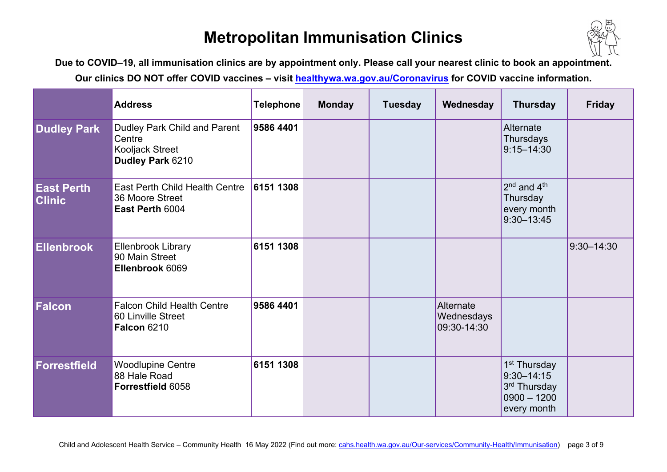

**Due to COVID–19, all immunisation clinics are by appointment only. Please call your nearest clinic to book an appointment.**

|                                    | <b>Address</b>                                                                | <b>Telephone</b> | <b>Monday</b> | <b>Tuesday</b> | Wednesday                              | <b>Thursday</b>                                                                            | <b>Friday</b>  |
|------------------------------------|-------------------------------------------------------------------------------|------------------|---------------|----------------|----------------------------------------|--------------------------------------------------------------------------------------------|----------------|
| <b>Dudley Park</b>                 | Dudley Park Child and Parent<br>Centre<br>Kooljack Street<br>Dudley Park 6210 | 9586 4401        |               |                |                                        | Alternate<br><b>Thursdays</b><br>$9:15 - 14:30$                                            |                |
| <b>East Perth</b><br><b>Clinic</b> | <b>East Perth Child Health Centre</b><br>36 Moore Street<br>East Perth 6004   | 6151 1308        |               |                |                                        | $2nd$ and $4th$<br>Thursday<br>every month<br>$9:30 - 13:45$                               |                |
| <b>Ellenbrook</b>                  | <b>Ellenbrook Library</b><br>90 Main Street<br>Ellenbrook 6069                | 6151 1308        |               |                |                                        |                                                                                            | $9:30 - 14:30$ |
| <b>Falcon</b>                      | <b>Falcon Child Health Centre</b><br>60 Linville Street<br><b>Falcon 6210</b> | 9586 4401        |               |                | Alternate<br>Wednesdays<br>09:30-14:30 |                                                                                            |                |
| <b>Forrestfield</b>                | <b>Woodlupine Centre</b><br>88 Hale Road<br>Forrestfield 6058                 | 6151 1308        |               |                |                                        | 1 <sup>st</sup> Thursday<br>$9:30 - 14:15$<br>3rd Thursday<br>$0900 - 1200$<br>every month |                |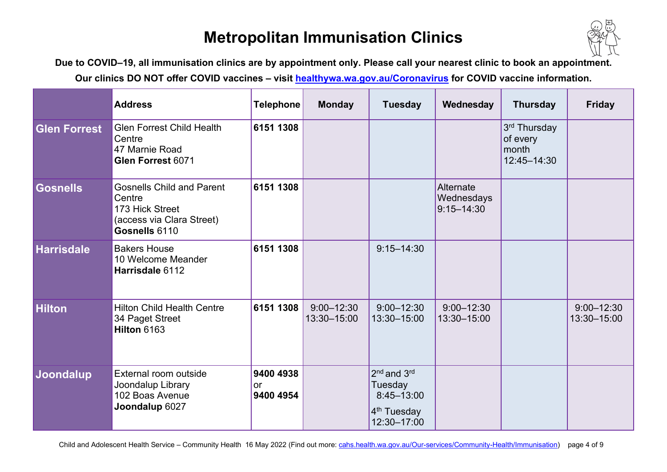

**Due to COVID–19, all immunisation clinics are by appointment only. Please call your nearest clinic to book an appointment.**

|                     | <b>Address</b>                                                                                              | <b>Telephone</b>                    | <b>Monday</b>                 | <b>Tuesday</b>                                                                                         | Wednesday                                 | <b>Thursday</b>                                  | <b>Friday</b>                 |
|---------------------|-------------------------------------------------------------------------------------------------------------|-------------------------------------|-------------------------------|--------------------------------------------------------------------------------------------------------|-------------------------------------------|--------------------------------------------------|-------------------------------|
| <b>Glen Forrest</b> | <b>Glen Forrest Child Health</b><br>Centre<br>47 Marnie Road<br>Glen Forrest 6071                           | 6151 1308                           |                               |                                                                                                        |                                           | 3rd Thursday<br>of every<br>month<br>12:45-14:30 |                               |
| <b>Gosnells</b>     | <b>Gosnells Child and Parent</b><br>Centre<br>173 Hick Street<br>(access via Clara Street)<br>Gosnells 6110 | 6151 1308                           |                               |                                                                                                        | Alternate<br>Wednesdays<br>$9:15 - 14:30$ |                                                  |                               |
| <b>Harrisdale</b>   | <b>Bakers House</b><br>10 Welcome Meander<br>Harrisdale 6112                                                | 6151 1308                           |                               | $9:15 - 14:30$                                                                                         |                                           |                                                  |                               |
| <b>Hilton</b>       | <b>Hilton Child Health Centre</b><br>34 Paget Street<br>Hilton 6163                                         | 6151 1308                           | $9:00 - 12:30$<br>13:30-15:00 | $9:00 - 12:30$<br>13:30-15:00                                                                          | $9:00 - 12:30$<br>13:30-15:00             |                                                  | $9:00 - 12:30$<br>13:30-15:00 |
| Joondalup           | External room outside<br>Joondalup Library<br>102 Boas Avenue<br>Joondalup 6027                             | 9400 4938<br><b>or</b><br>9400 4954 |                               | 2 <sup>nd</sup> and 3 <sup>rd</sup><br>Tuesday<br>8:45-13:00<br>4 <sup>th</sup> Tuesday<br>12:30-17:00 |                                           |                                                  |                               |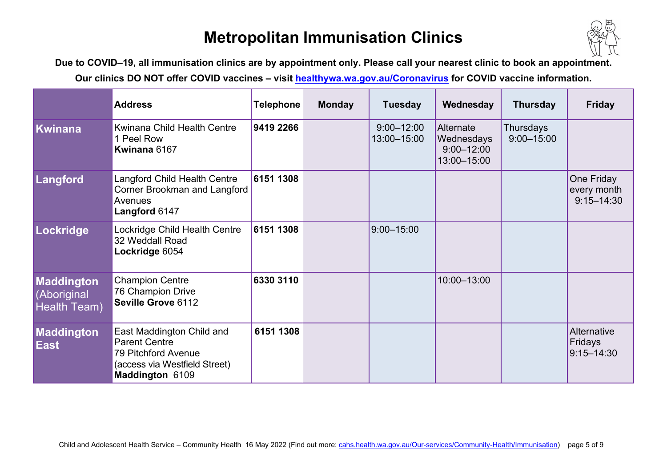

**Due to COVID–19, all immunisation clinics are by appointment only. Please call your nearest clinic to book an appointment.**

|                                                         | <b>Address</b>                                                                                                               | <b>Telephone</b> | <b>Monday</b> | <b>Tuesday</b>                | Wednesday                                                | <b>Thursday</b>             | <b>Friday</b>                               |
|---------------------------------------------------------|------------------------------------------------------------------------------------------------------------------------------|------------------|---------------|-------------------------------|----------------------------------------------------------|-----------------------------|---------------------------------------------|
| Kwinana                                                 | Kwinana Child Health Centre<br>1 Peel Row<br>Kwinana 6167                                                                    | 9419 2266        |               | $9:00 - 12:00$<br>13:00-15:00 | Alternate<br>Wednesdays<br>$9:00 - 12:00$<br>13:00-15:00 | Thursdays<br>$9:00 - 15:00$ |                                             |
| Langford                                                | <b>Langford Child Health Centre</b><br>Corner Brookman and Langford<br>Avenues<br>Langford 6147                              | 6151 1308        |               |                               |                                                          |                             | One Friday<br>every month<br>$9:15 - 14:30$ |
| Lockridge                                               | Lockridge Child Health Centre<br>32 Weddall Road<br>Lockridge 6054                                                           | 6151 1308        |               | $9:00 - 15:00$                |                                                          |                             |                                             |
| <b>Maddington</b><br>(Aboriginal<br><b>Health Team)</b> | <b>Champion Centre</b><br>76 Champion Drive<br>Seville Grove 6112                                                            | 6330 3110        |               |                               | 10:00-13:00                                              |                             |                                             |
| Maddington<br><b>East</b>                               | East Maddington Child and<br><b>Parent Centre</b><br>79 Pitchford Avenue<br>(access via Westfield Street)<br>Maddington 6109 | 6151 1308        |               |                               |                                                          |                             | Alternative<br>Fridays<br>$9:15 - 14:30$    |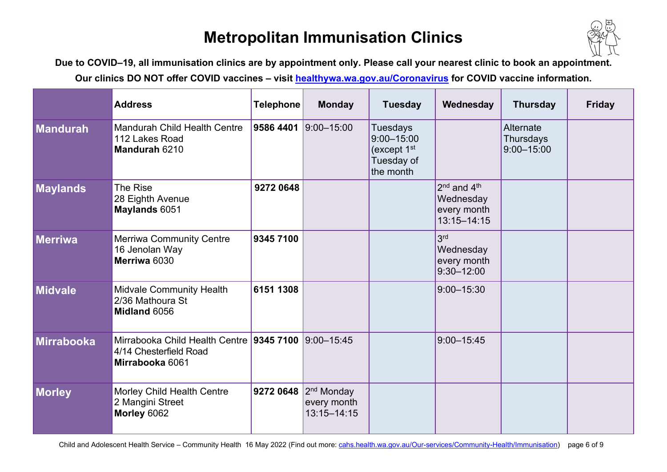

**Due to COVID–19, all immunisation clinics are by appointment only. Please call your nearest clinic to book an appointment.**

|                 | <b>Address</b>                                                                        | <b>Telephone</b> | <b>Monday</b>                                            | <b>Tuesday</b>                                                                | Wednesday                                                                          | <b>Thursday</b>                          | <b>Friday</b> |
|-----------------|---------------------------------------------------------------------------------------|------------------|----------------------------------------------------------|-------------------------------------------------------------------------------|------------------------------------------------------------------------------------|------------------------------------------|---------------|
| Mandurah        | <b>Mandurah Child Health Centre</b><br>112 Lakes Road<br>Mandurah 6210                | 9586 4401        | 9:00-15:00                                               | <b>Tuesdays</b><br>$9:00 - 15:00$<br>(except $1st$<br>Tuesday of<br>the month |                                                                                    | Alternate<br>Thursdays<br>$9:00 - 15:00$ |               |
| <b>Maylands</b> | The Rise<br>28 Eighth Avenue<br>Maylands 6051                                         | 9272 0648        |                                                          |                                                                               | 2 <sup>nd</sup> and 4 <sup>th</sup><br>Wednesday<br>every month<br>$13:15 - 14:15$ |                                          |               |
| Merriwa         | <b>Merriwa Community Centre</b><br>16 Jenolan Way<br>Merriwa 6030                     | 9345 7100        |                                                          |                                                                               | 3 <sup>rd</sup><br>Wednesday<br>every month<br>$9:30 - 12:00$                      |                                          |               |
| Midvale         | <b>Midvale Community Health</b><br>2/36 Mathoura St<br>Midland 6056                   | 6151 1308        |                                                          |                                                                               | $9:00 - 15:30$                                                                     |                                          |               |
| Mirrabooka      | Mirrabooka Child Health Centre 9345 7100<br>4/14 Chesterfield Road<br>Mirrabooka 6061 |                  | 9:00-15:45                                               |                                                                               | 9:00-15:45                                                                         |                                          |               |
| Morley          | Morley Child Health Centre<br>2 Mangini Street<br>Morley 6062                         | 9272 0648        | 2 <sup>nd</sup> Monday<br>every month<br>$13:15 - 14:15$ |                                                                               |                                                                                    |                                          |               |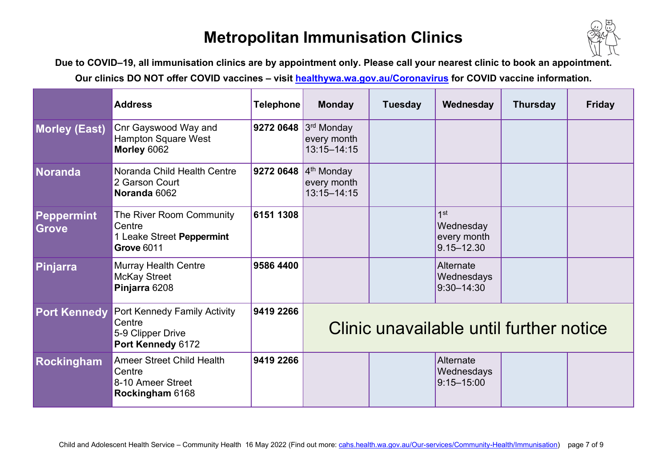

**Due to COVID–19, all immunisation clinics are by appointment only. Please call your nearest clinic to book an appointment.**

|                            | <b>Address</b>                                                                          | <b>Telephone</b> | <b>Monday</b>                                  | <b>Tuesday</b> | Wednesday                                                     | <b>Thursday</b> | <b>Friday</b> |  |
|----------------------------|-----------------------------------------------------------------------------------------|------------------|------------------------------------------------|----------------|---------------------------------------------------------------|-----------------|---------------|--|
| <b>Morley (East)</b>       | Cnr Gayswood Way and<br><b>Hampton Square West</b><br>Morley 6062                       | 9272 0648        | $3rd$ Monday<br>every month<br>$13:15 - 14:15$ |                |                                                               |                 |               |  |
| Noranda                    | Noranda Child Health Centre<br>2 Garson Court<br>Noranda 6062                           | 9272 0648        | $4th$ Monday<br>every month<br>$13:15 - 14:15$ |                |                                                               |                 |               |  |
| Peppermint<br><b>Grove</b> | The River Room Community<br>Centre<br>1 Leake Street Peppermint<br><b>Grove 6011</b>    | 6151 1308        |                                                |                | 1 <sup>st</sup><br>Wednesday<br>every month<br>$9.15 - 12.30$ |                 |               |  |
| Pinjarra                   | <b>Murray Health Centre</b><br><b>McKay Street</b><br>Pinjarra 6208                     | 9586 4400        |                                                |                | Alternate<br>Wednesdays<br>$9:30 - 14:30$                     |                 |               |  |
| <b>Port Kennedy</b>        | <b>Port Kennedy Family Activity</b><br>Centre<br>5-9 Clipper Drive<br>Port Kennedy 6172 | 9419 2266        | Clinic unavailable until further notice        |                |                                                               |                 |               |  |
| <b>Rockingham</b>          | <b>Ameer Street Child Health</b><br>Centre<br>8-10 Ameer Street<br>Rockingham 6168      | 9419 2266        |                                                |                | Alternate<br>Wednesdays<br>$9:15 - 15:00$                     |                 |               |  |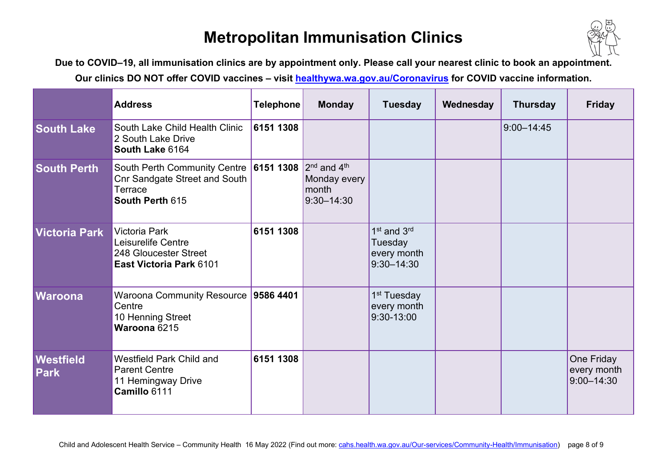

**Due to COVID–19, all immunisation clinics are by appointment only. Please call your nearest clinic to book an appointment.**

|                                 | <b>Address</b>                                                                                     | Telephone | <b>Monday</b>                                              | <b>Tuesday</b>                                                                  | Wednesday | <b>Thursday</b> | <b>Friday</b>                               |
|---------------------------------|----------------------------------------------------------------------------------------------------|-----------|------------------------------------------------------------|---------------------------------------------------------------------------------|-----------|-----------------|---------------------------------------------|
| <b>South Lake</b>               | South Lake Child Health Clinic<br>2 South Lake Drive<br>South Lake 6164                            | 6151 1308 |                                                            |                                                                                 |           | $9:00 - 14:45$  |                                             |
| <b>South Perth</b>              | South Perth Community Centre<br><b>Cnr Sandgate Street and South</b><br>Terrace<br>South Perth 615 | 6151 1308 | $2nd$ and $4th$<br>Monday every<br>month<br>$9:30 - 14:30$ |                                                                                 |           |                 |                                             |
| Victoria Park                   | <b>Victoria Park</b><br>Leisurelife Centre<br>248 Gloucester Street<br>East Victoria Park 6101     | 6151 1308 |                                                            | 1 <sup>st</sup> and 3 <sup>rd</sup><br>Tuesday<br>every month<br>$9:30 - 14:30$ |           |                 |                                             |
| <b>Waroona</b>                  | <b>Waroona Community Resource</b><br>Centre<br>10 Henning Street<br>Waroona 6215                   | 9586 4401 |                                                            | 1 <sup>st</sup> Tuesday<br>every month<br>9:30-13:00                            |           |                 |                                             |
| <b>Westfield</b><br><b>Park</b> | Westfield Park Child and<br><b>Parent Centre</b><br>11 Hemingway Drive<br>Camillo 6111             | 6151 1308 |                                                            |                                                                                 |           |                 | One Friday<br>every month<br>$9:00 - 14:30$ |